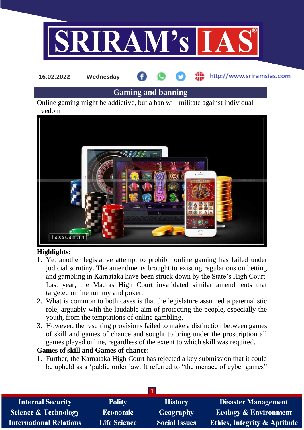

# **Gaming and banning**

Online gaming might be addictive, but a ban will militate against individual freedom



### **Highlights:**

- 1. Yet another legislative attempt to prohibit online gaming has failed under judicial scrutiny. The amendments brought to existing regulations on betting and gambling in Karnataka have been struck down by the State's High Court. Last year, the Madras High Court invalidated similar amendments that targeted online rummy and poker.
- 2. What is common to both cases is that the legislature assumed a paternalistic role, arguably with the laudable aim of protecting the people, especially the youth, from the temptations of online gambling.
- 3. However, the resulting provisions failed to make a distinction between games of skill and games of chance and sought to bring under the proscription all games played online, regardless of the extent to which skill was required.

### **Games of skill and Games of chance:**

1. Further, the Karnataka High Court has rejected a key submission that it could be upheld as a 'public order law. It referred to "the menace of cyber games"

| <b>Internal Security</b>        | <b>Polity</b>       | <b>History</b>       | <b>Disaster Management</b>              |
|---------------------------------|---------------------|----------------------|-----------------------------------------|
| <b>Science &amp; Technology</b> | <b>Economic</b>     | Geography            | <b>Ecology &amp; Environment</b>        |
| <b>International Relations</b>  | <b>Life Science</b> | <b>Social Issues</b> | <b>Ethics, Integrity &amp; Aptitude</b> |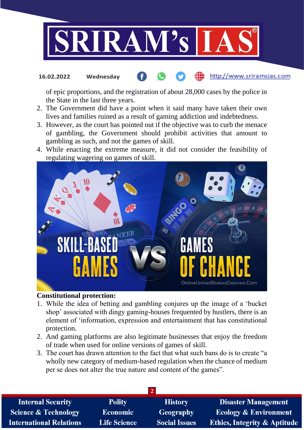

of epic proportions, and the registration of about 28,000 cases by the police in the State in the last three years.

- 2. The Government did have a point when it said many have taken their own lives and families ruined as a result of gaming addiction and indebtedness.
- 3. However, as the court has pointed out if the objective was to curb the menace of gambling, the Government should prohibit activities that amount to gambling as such, and not the games of skill.
- 4. While enacting the extreme measure, it did not consider the feasibility of regulating wagering on games of skill.



#### **Constitutional protection:**

- 1. While the idea of betting and gambling conjures up the image of a 'bucket shop' associated with dingy gaming-houses frequented by hustlers, there is an element of 'information, expression and entertainment that has constitutional protection.
- 2. And gaming platforms are also legitimate businesses that enjoy the freedom of trade when used for online versions of games of skill.
- 3. The court has drawn attention to the fact that what such bans do is to create "a wholly new category of medium-based regulation when the chance of medium per se does not alter the true nature and content of the games".

| <b>Internal Security</b>        | <b>Polity</b>       | <b>History</b>       | <b>Disaster Management</b>              |
|---------------------------------|---------------------|----------------------|-----------------------------------------|
| <b>Science &amp; Technology</b> | <b>Economic</b>     | Geography            | Ecology & Environment                   |
| <b>International Relations</b>  | <b>Life Science</b> | <b>Social Issues</b> | <b>Ethics, Integrity &amp; Aptitude</b> |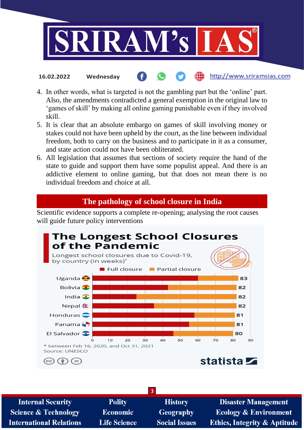

- 4. In other words, what is targeted is not the gambling part but the 'online' part. Also, the amendments contradicted a general exemption in the original law to 'games of skill' by making all online gaming punishable even if they involved skill.
- 5. It is clear that an absolute embargo on games of skill involving money or stakes could not have been upheld by the court, as the line between individual freedom, both to carry on the business and to participate in it as a consumer, and state action could not have been obliterated.
- 6. All legislation that assumes that sections of society require the hand of the state to guide and support them have some populist appeal. And there is an addictive element to online gaming, but that does not mean there is no individual freedom and choice at all.

### **The pathology of school closure in India**

Scientific evidence supports a complete re-opening; analysing the root causes will guide future policy interventions



| <b>Internal Security</b>        | <b>Polity</b>       | <b>History</b>       | <b>Disaster Management</b>              |
|---------------------------------|---------------------|----------------------|-----------------------------------------|
| <b>Science &amp; Technology</b> | <b>Economic</b>     | <b>Geography</b>     | <b>Ecology &amp; Environment</b>        |
| <b>International Relations</b>  | <b>Life Science</b> | <b>Social Issues</b> | <b>Ethics, Integrity &amp; Aptitude</b> |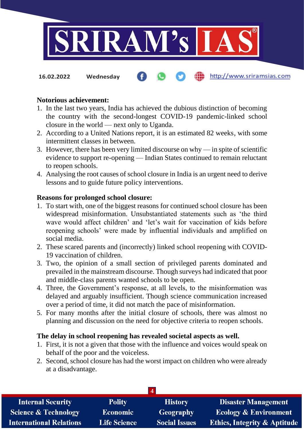

**16.02.2022 Wednesday**

# **Notorious achievement:**

- 1. In the last two years, India has achieved the dubious distinction of becoming the country with the second-longest COVID-19 pandemic-linked school closure in the world — next only to Uganda.
- 2. According to a United Nations report, it is an estimated 82 weeks, with some intermittent classes in between.
- 3. However, there has been very limited discourse on why in spite of scientific evidence to support re-opening — Indian States continued to remain reluctant to reopen schools.
- 4. Analysing the root causes of school closure in India is an urgent need to derive lessons and to guide future policy interventions.

#### **Reasons for prolonged school closure:**

- 1. To start with, one of the biggest reasons for continued school closure has been widespread misinformation. Unsubstantiated statements such as 'the third wave would affect children' and 'let's wait for vaccination of kids before reopening schools' were made by influential individuals and amplified on social media.
- 2. These scared parents and (incorrectly) linked school reopening with COVID-19 vaccination of children.
- 3. Two, the opinion of a small section of privileged parents dominated and prevailed in the mainstream discourse. Though surveys had indicated that poor and middle-class parents wanted schools to be open.
- 4. Three, the Government's response, at all levels, to the misinformation was delayed and arguably insufficient. Though science communication increased over a period of time, it did not match the pace of misinformation.
- 5. For many months after the initial closure of schools, there was almost no planning and discussion on the need for objective criteria to reopen schools.

#### **The delay in school reopening has revealed societal aspects as well.**

- 1. First, it is not a given that those with the influence and voices would speak on behalf of the poor and the voiceless.
- 2. Second, school closure has had the worst impact on children who were already at a disadvantage.

| <b>Internal Security</b>        | <b>Polity</b>       | <b>History</b>       | <b>Disaster Management</b>              |
|---------------------------------|---------------------|----------------------|-----------------------------------------|
| <b>Science &amp; Technology</b> | <b>Economic</b>     | Geography            | <b>Ecology &amp; Environment</b>        |
| <b>International Relations</b>  | <b>Life Science</b> | <b>Social Issues</b> | <b>Ethics, Integrity &amp; Aptitude</b> |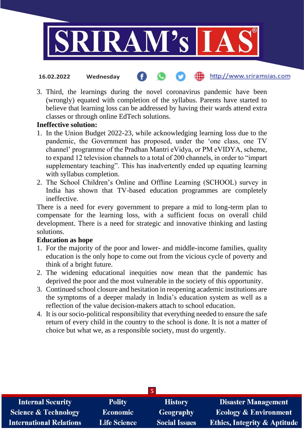

3. Third, the learnings during the novel coronavirus pandemic have been (wrongly) equated with completion of the syllabus. Parents have started to believe that learning loss can be addressed by having their wards attend extra classes or through online EdTech solutions.

#### **Ineffective solution:**

- 1. In the Union Budget 2022-23, while acknowledging learning loss due to the pandemic, the Government has proposed, under the 'one class, one TV channel' programme of the Pradhan Mantri eVidya, or PM eVIDYA, scheme, to expand 12 television channels to a total of 200 channels, in order to "impart supplementary teaching". This has inadvertently ended up equating learning with syllabus completion.
- 2. The School Children's Online and Offline Learning (SCHOOL) survey in India has shown that TV-based education programmes are completely ineffective.

There is a need for every government to prepare a mid to long-term plan to compensate for the learning loss, with a sufficient focus on overall child development. There is a need for strategic and innovative thinking and lasting solutions.

#### **Education as hope**

- 1. For the majority of the poor and lower- and middle-income families, quality education is the only hope to come out from the vicious cycle of poverty and think of a bright future.
- 2. The widening educational inequities now mean that the pandemic has deprived the poor and the most vulnerable in the society of this opportunity.
- 3. Continued school closure and hesitation in reopening academic institutions are the symptoms of a deeper malady in India's education system as well as a reflection of the value decision-makers attach to school education.
- 4. It is our socio-political responsibility that everything needed to ensure the safe return of every child in the country to the school is done. It is not a matter of choice but what we, as a responsible society, must do urgently.

| $\sqrt{5}$                      |                     |                      |                                         |  |  |
|---------------------------------|---------------------|----------------------|-----------------------------------------|--|--|
| <b>Internal Security</b>        | <b>Polity</b>       | <b>History</b>       | <b>Disaster Management</b>              |  |  |
| <b>Science &amp; Technology</b> | <b>Economic</b>     | <b>Geography</b>     | <b>Ecology &amp; Environment</b>        |  |  |
| <b>International Relations</b>  | <b>Life Science</b> | <b>Social Issues</b> | <b>Ethics, Integrity &amp; Aptitude</b> |  |  |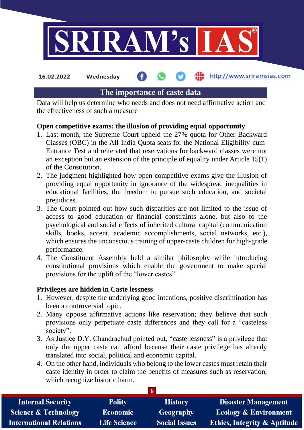

**16.02.2022 Wednesday**

#### **fin** http://www.sriramsias.com

# **The importance of caste data**

Data will help us determine who needs and does not need affirmative action and the effectiveness of such a measure

# **Open competitive exams: the illusion of providing equal opportunity**

- 1. Last month, the Supreme Court upheld the 27% quota for Other Backward Classes (OBC) in the All-India Quota seats for the National Eligibility-cum-Entrance Test and reiterated that reservations for backward classes were not an exception but an extension of the principle of equality under Article 15(1) of the Constitution.
- 2. The judgment highlighted how open competitive exams give the illusion of providing equal opportunity in ignorance of the widespread inequalities in educational facilities, the freedom to pursue such education, and societal prejudices.
- 3. The Court pointed out how such disparities are not limited to the issue of access to good education or financial constraints alone, but also to the psychological and social effects of inherited cultural capital (communication skills, books, accent, academic accomplishments, social networks, etc.), which ensures the unconscious training of upper-caste children for high-grade performance.
- 4. The Constituent Assembly held a similar philosophy while introducing constitutional provisions which enable the government to make special provisions for the uplift of the "lower castes".

# **Privileges are hidden in Caste lessness**

- 1. However, despite the underlying good intentions, positive discrimination has been a controversial topic.
- 2. Many oppose affirmative actions like reservation; they believe that such provisions only perpetuate caste differences and they call for a "casteless society".
- 3. As Justice D.Y. Chandrachud pointed out, "caste lessness" is a privilege that only the upper caste can afford because their caste privilege has already translated into social, political and economic capital.
- 4. On the other hand, individuals who belong to the lower castes must retain their caste identity in order to claim the benefits of measures such as reservation, which recognize historic harm.

| <b>Internal Security</b>        | <b>Polity</b>       | <b>History</b>       | <b>Disaster Management</b>              |
|---------------------------------|---------------------|----------------------|-----------------------------------------|
| <b>Science &amp; Technology</b> | <b>Economic</b>     | Geography            | <b>Ecology &amp; Environment</b>        |
| <b>International Relations</b>  | <b>Life Science</b> | <b>Social Issues</b> | <b>Ethics, Integrity &amp; Aptitude</b> |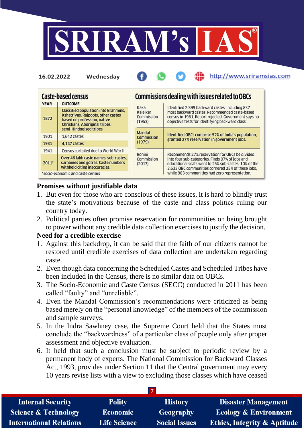

| <b>YEAR</b> | <b>Caste-based census</b><br><b>OUTCOME</b>                                                                                                                                         |                                          | Commissions dealing with issues related to OBCs                                                                                                                                                                |  |
|-------------|-------------------------------------------------------------------------------------------------------------------------------------------------------------------------------------|------------------------------------------|----------------------------------------------------------------------------------------------------------------------------------------------------------------------------------------------------------------|--|
| 1872        | <b>Classified population into Brahmins.</b><br>Kshatriyas, Rajpoots, other castes<br>based on profession, native<br><b>Christians, Aboriginal tribes.</b><br>semi-Hindooised tribes | Kaka<br>Kalelkar<br>Commission<br>(1953) | Identified 2,399 backward castes, including 837<br>most backward castes. Recommended caste-based<br>census in 1961. Report rejected. Government says no<br>objective tests for identifying backward class.     |  |
| 1901        | 1.642 castes                                                                                                                                                                        | Mandal<br><b>Commission</b>              | <b>Identified OBCs comprise 52% of India's population.</b><br>granted 27% reservation in government jobs.                                                                                                      |  |
| 1931        | 4.147 castes                                                                                                                                                                        | (1979)                                   |                                                                                                                                                                                                                |  |
| 1941        | Census curtailed due to World War II                                                                                                                                                |                                          |                                                                                                                                                                                                                |  |
| $2011*$     | Over 46 lakh caste names, sub-castes,<br>surnames and gotras. Caste numbers<br>withheld citing inaccuracies.                                                                        | Rohini<br>Commission<br>(2017)           | Recommends 27% reservation for OBCs be divided<br>into four sub-categories. Finds 97% of jobs and<br>educational seats went to 25% sub-castes, 10% of the<br>2.633 OBC communities cornered 25% of these jobs. |  |
|             | *socio-economic and caste census                                                                                                                                                    |                                          | while 983 communities had zero representation.                                                                                                                                                                 |  |

http://www.sriramsias.com

### **Promises without justifiable data**

**16.02.2022 Wednesday**

- 1. But even for those who are conscious of these issues, it is hard to blindly trust the state's motivations because of the caste and class politics ruling our country today.
- 2. Political parties often promise reservation for communities on being brought to power without any credible data collection exercises to justify the decision.

### **Need for a credible exercise**

- 1. Against this backdrop, it can be said that the faith of our citizens cannot be restored until credible exercises of data collection are undertaken regarding caste.
- 2. Even though data concerning the Scheduled Castes and Scheduled Tribes have been included in the Census, there is no similar data on OBCs.
- 3. The Socio-Economic and Caste Census (SECC) conducted in 2011 has been called "faulty" and "unreliable".
- 4. Even the Mandal Commission's recommendations were criticized as being based merely on the "personal knowledge" of the members of the commission and sample surveys.
- 5. In the Indra Sawhney case, the Supreme Court held that the States must conclude the "backwardness" of a particular class of people only after proper assessment and objective evaluation.
- 6. It held that such a conclusion must be subject to periodic review by a permanent body of experts. The National Commission for Backward Classes Act, 1993, provides under Section 11 that the Central government may every 10 years revise lists with a view to excluding those classes which have ceased

| <b>Internal Security</b>        | <b>Polity</b>       | <b>History</b>       | <b>Disaster Management</b>              |
|---------------------------------|---------------------|----------------------|-----------------------------------------|
| <b>Science &amp; Technology</b> | <b>Economic</b>     | <b>Geography</b>     | <b>Ecology &amp; Environment</b>        |
| <b>International Relations</b>  | <b>Life Science</b> | <b>Social Issues</b> | <b>Ethics, Integrity &amp; Aptitude</b> |